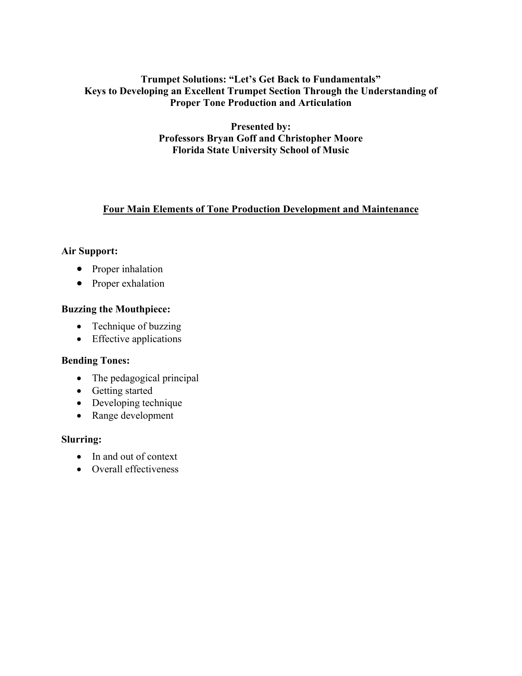## **Trumpet Solutions: "Let's Get Back to Fundamentals" Keys to Developing an Excellent Trumpet Section Through the Understanding of Proper Tone Production and Articulation**

**Presented by: Professors Bryan Goff and Christopher Moore Florida State University School of Music** 

# **Four Main Elements of Tone Production Development and Maintenance**

## **Air Support:**

- Proper inhalation
- Proper exhalation

## **Buzzing the Mouthpiece:**

- Technique of buzzing
- Effective applications

### **Bending Tones:**

- The pedagogical principal
- Getting started
- Developing technique
- Range development

### **Slurring:**

- In and out of context
- Overall effectiveness